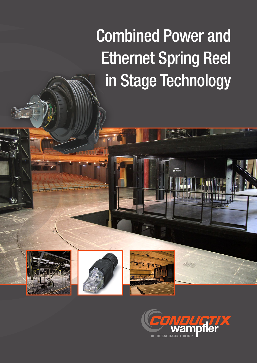## Combined Power and Ethernet Spring Reel in Stage Technology